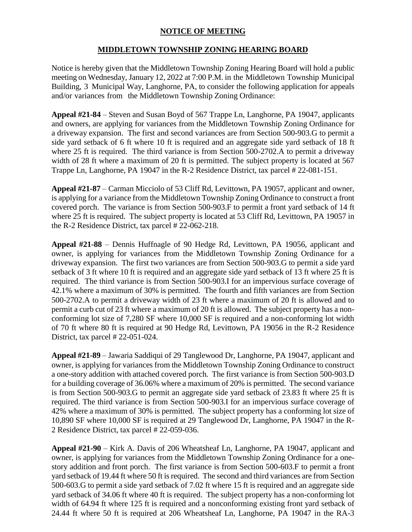## **NOTICE OF MEETING**

## **MIDDLETOWN TOWNSHIP ZONING HEARING BOARD**

Notice is hereby given that the Middletown Township Zoning Hearing Board will hold a public meeting on Wednesday, January 12, 2022 at 7:00 P.M. in the Middletown Township Municipal Building, 3 Municipal Way, Langhorne, PA, to consider the following application for appeals and/or variances from the Middletown Township Zoning Ordinance:

**Appeal #21-84** – Steven and Susan Boyd of 567 Trappe Ln, Langhorne, PA 19047, applicants and owners, are applying for variances from the Middletown Township Zoning Ordinance for a driveway expansion. The first and second variances are from Section 500-903.G to permit a side yard setback of 6 ft where 10 ft is required and an aggregate side yard setback of 18 ft where 25 ft is required. The third variance is from Section 500-2702.A to permit a driveway width of 28 ft where a maximum of 20 ft is permitted. The subject property is located at 567 Trappe Ln, Langhorne, PA 19047 in the R-2 Residence District, tax parcel # 22-081-151.

**Appeal #21-87** – Carman Micciolo of 53 Cliff Rd, Levittown, PA 19057, applicant and owner, is applying for a variance from the Middletown Township Zoning Ordinance to construct a front covered porch. The variance is from Section 500-903.F to permit a front yard setback of 14 ft where 25 ft is required. The subject property is located at 53 Cliff Rd, Levittown, PA 19057 in the R-2 Residence District, tax parcel # 22-062-218.

**Appeal #21-88** – Dennis Huffnagle of 90 Hedge Rd, Levittown, PA 19056, applicant and owner, is applying for variances from the Middletown Township Zoning Ordinance for a driveway expansion. The first two variances are from Section 500-903.G to permit a side yard setback of 3 ft where 10 ft is required and an aggregate side yard setback of 13 ft where 25 ft is required. The third variance is from Section 500-903.I for an impervious surface coverage of 42.1% where a maximum of 30% is permitted. The fourth and fifth variances are from Section 500-2702.A to permit a driveway width of 23 ft where a maximum of 20 ft is allowed and to permit a curb cut of 23 ft where a maximum of 20 ft is allowed. The subject property has a nonconforming lot size of 7,280 SF where 10,000 SF is required and a non-conforming lot width of 70 ft where 80 ft is required at 90 Hedge Rd, Levittown, PA 19056 in the R-2 Residence District, tax parcel # 22-051-024.

**Appeal #21-89** – Jawaria Saddiqui of 29 Tanglewood Dr, Langhorne, PA 19047, applicant and owner, is applying for variances from the Middletown Township Zoning Ordinance to construct a one-story addition with attached covered porch. The first variance is from Section 500-903.D for a building coverage of 36.06% where a maximum of 20% is permitted. The second variance is from Section 500-903.G to permit an aggregate side yard setback of 23.83 ft where 25 ft is required. The third variance is from Section 500-903.I for an impervious surface coverage of 42% where a maximum of 30% is permitted. The subject property has a conforming lot size of 10,890 SF where 10,000 SF is required at 29 Tanglewood Dr, Langhorne, PA 19047 in the R-2 Residence District, tax parcel # 22-059-036.

**Appeal #21-90** – Kirk A. Davis of 206 Wheatsheaf Ln, Langhorne, PA 19047, applicant and owner, is applying for variances from the Middletown Township Zoning Ordinance for a onestory addition and front porch. The first variance is from Section 500-603.F to permit a front yard setback of 19.44 ft where 50 ft is required. The second and third variances are from Section 500-603.G to permit a side yard setback of 7.02 ft where 15 ft is required and an aggregate side yard setback of 34.06 ft where 40 ft is required. The subject property has a non-conforming lot width of 64.94 ft where 125 ft is required and a nonconforming existing front yard setback of 24.44 ft where 50 ft is required at 206 Wheatsheaf Ln, Langhorne, PA 19047 in the RA-3